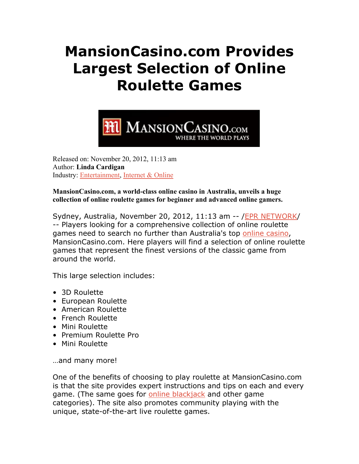## **MansionCasino.com Provides Largest Selection of Online Roulette Games**



Released on: November 20, 2012, 11:13 am Author: **Linda Cardigan**  Industry: Entertainment, Internet & Online

**MansionCasino.com, a world-class online casino in Australia, unveils a huge collection of online roulette games for beginner and advanced online gamers.**

Sydney, Australia, November 20, 2012, 11:13 am -- /EPR NETWORK/ -- Players looking for a comprehensive collection of online roulette games need to search no further than Australia's top online casino, MansionCasino.com. Here players will find a selection of online roulette games that represent the finest versions of the classic game from around the world.

This large selection includes:

- 3D Roulette
- European Roulette
- American Roulette
- French Roulette
- Mini Roulette
- Premium Roulette Pro
- Mini Roulette

…and many more!

One of the benefits of choosing to play roulette at MansionCasino.com is that the site provides expert instructions and tips on each and every game. (The same goes for online blackjack and other game categories). The site also promotes community playing with the unique, state-of-the-art live roulette games.